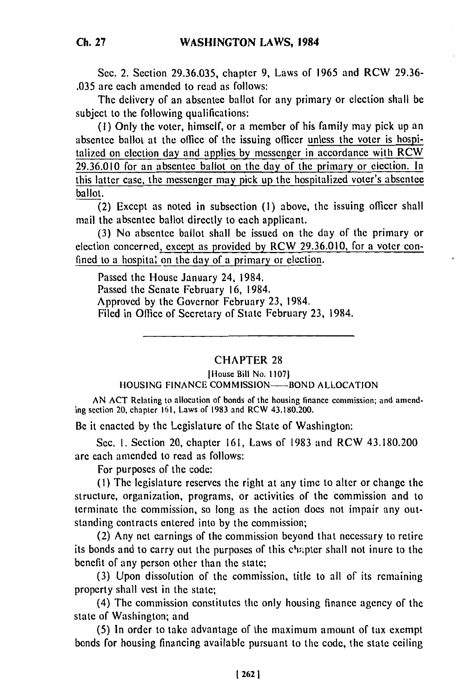Sec. 2. Section 29.36.035, chapter 9, Laws of 1965 and RCW 29.36- .035 are each amended to read as follows:

The delivery of an absentee ballot for any primary or election shall be subject to the following qualifications:

**(1)** Only the voter, himself, or a member of his family may pick up an absentee ballot at the office of the issuing officer unless the voter is hospitalized on election day and applies by messenger in accordance with RCW 29.36.010 for an absentee ballot on the day of the primary or election. In this latter case, the messenger may pick up the hospitalized voter's absentee ballot.

(2) Except as noted in subsection (1) above, the issuing officer shall mail the absentee ballot directly to each applicant.

(3) No absentee ballot shall be issued on the day of the primary or election concerned, except as provided by RCW 29.36.010, for a voter confined to a hospital on the day of a primary or election.

Passed the House January 24, 1984. Passed the Senate February 16, 1984. Approved by the Governor February 23, 1984. Filed in Office of Secretary of State February 23, 1984.

## CHAPTER 28

Illousc Bill No. **1107)**

HOUSING FINANCE COMMISSION-BOND ALLOCATION

AN ACT Relating to allocation of bonds of the housing finance commission; and amending section 20, chapter 161, Laws of 1983 and RCW 43.180.200.

Be it enacted by the Legislature of the State of Washington:

Sec. 1. Section 20, chapter 161, Laws of 1983 and RCW 43.180.200 are each amended to read as follows:

For purposes of the code:

(I) The legislature reserves the right at any time to alter or change the structure, organization, programs, or activities of the commission and to terminate the commission, so long as the action does not impair any outstanding contracts entered into by the commission;

(2) Any net earnings of the commission beyond that necessary to retire its bonds and to carry out the purposes of this chapter shall not inure to the benefit of any person other than the state;

**(3)** Upon dissolution of the commission, title to all of its remaining property shall vest in the state;

(4) The commission constitutes the only housing finance agency of the state of Washington; and

(5) In order to take advantage of the maximum amount of tax exempt bonds for housing financing available pursuant to the code, the state ceiling